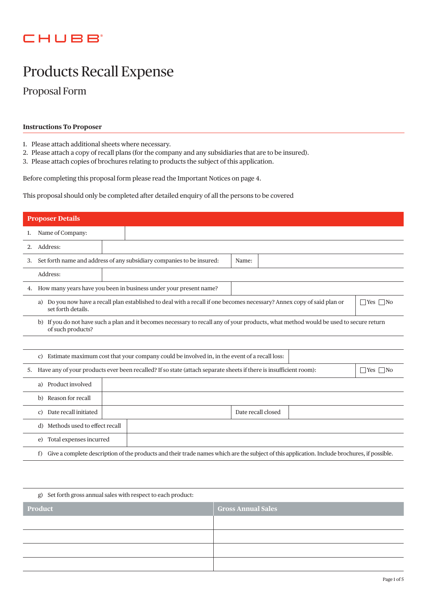## **CHUBB**

# Products Recall Expense

Proposal Form

## **Instructions To Proposer**

- 1. Please attach additional sheets where necessary.
- 2. Please attach a copy of recall plans (for the company and any subsidiaries that are to be insured).
- 3. Please attach copies of brochures relating to products the subject of this application.

Before completing this proposal form please read the Important Notices on page 4.

This proposal should only be completed after detailed enquiry of all the persons to be covered

|    | <b>Proposer Details</b>                                                                                                                                                     |                                                                                                                   |                      |  |
|----|-----------------------------------------------------------------------------------------------------------------------------------------------------------------------------|-------------------------------------------------------------------------------------------------------------------|----------------------|--|
| 1. | Name of Company:                                                                                                                                                            |                                                                                                                   |                      |  |
| 2. | Address:                                                                                                                                                                    |                                                                                                                   |                      |  |
| 3. |                                                                                                                                                                             | Set forth name and address of any subsidiary companies to be insured:<br>Name:                                    |                      |  |
|    | Address:                                                                                                                                                                    |                                                                                                                   |                      |  |
| 4. |                                                                                                                                                                             | How many years have you been in business under your present name?                                                 |                      |  |
|    | a) Do you now have a recall plan established to deal with a recall if one becomes necessary? Annex copy of said plan or<br>$\bigcap$ Yes $\bigcap$ No<br>set forth details. |                                                                                                                   |                      |  |
|    | b) If you do not have such a plan and it becomes necessary to recall any of your products, what method would be used to secure return<br>of such products?                  |                                                                                                                   |                      |  |
|    |                                                                                                                                                                             |                                                                                                                   |                      |  |
|    | Estimate maximum cost that your company could be involved in, in the event of a recall loss:                                                                                |                                                                                                                   |                      |  |
| 5. |                                                                                                                                                                             | Have any of your products ever been recalled? If so state (attach separate sheets if there is insufficient room): | $\Box$ Yes $\Box$ No |  |
|    | Product involved<br>a)                                                                                                                                                      |                                                                                                                   |                      |  |
|    | b) Reason for recall                                                                                                                                                        |                                                                                                                   |                      |  |
|    | Date recall initiated<br>$\mathcal{C}$ )                                                                                                                                    | Date recall closed                                                                                                |                      |  |
|    | d) Methods used to effect recall                                                                                                                                            |                                                                                                                   |                      |  |
|    | Total expenses incurred<br>e)                                                                                                                                               |                                                                                                                   |                      |  |
|    | Give a complete description of the products and their trade names which are the subject of this application. Include brochures, if possible.<br>f)                          |                                                                                                                   |                      |  |

| g) Set forth gross annual sales with respect to each product: |                           |  |
|---------------------------------------------------------------|---------------------------|--|
| Product                                                       | <b>Gross Annual Sales</b> |  |
|                                                               |                           |  |
|                                                               |                           |  |
|                                                               |                           |  |
|                                                               |                           |  |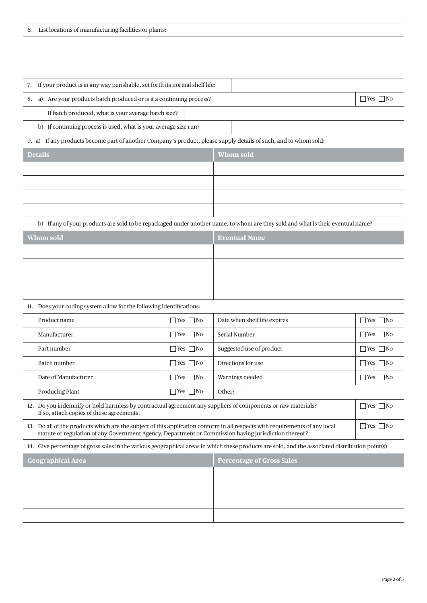| 7. If your product is in any way perishable, set forth its normal shelf life:                                                                                                                                                        |                                  |                                  |                      |
|--------------------------------------------------------------------------------------------------------------------------------------------------------------------------------------------------------------------------------------|----------------------------------|----------------------------------|----------------------|
| a) Are your products batch produced or is it a continuing process?<br>$\Box$ Yes $\Box$ No<br>8.                                                                                                                                     |                                  |                                  |                      |
| If batch produced, what is your average batch size?                                                                                                                                                                                  |                                  |                                  |                      |
| b) If continuing process is used, what is your average size run?                                                                                                                                                                     |                                  |                                  |                      |
| 9. a) If any products become part of another Company's product, please supply details of such, and to whom sold:                                                                                                                     |                                  |                                  |                      |
| <b>Details</b>                                                                                                                                                                                                                       |                                  | <b>Whom sold</b>                 |                      |
|                                                                                                                                                                                                                                      |                                  |                                  |                      |
|                                                                                                                                                                                                                                      |                                  |                                  |                      |
|                                                                                                                                                                                                                                      |                                  |                                  |                      |
|                                                                                                                                                                                                                                      |                                  |                                  |                      |
| b) If any of your products are sold to be repackaged under another name, to whom are they sold and what is their eventual name?                                                                                                      |                                  |                                  |                      |
| <b>Whom sold</b>                                                                                                                                                                                                                     |                                  | <b>Eventual Name</b>             |                      |
|                                                                                                                                                                                                                                      |                                  |                                  |                      |
|                                                                                                                                                                                                                                      |                                  |                                  |                      |
|                                                                                                                                                                                                                                      |                                  |                                  |                      |
|                                                                                                                                                                                                                                      |                                  |                                  |                      |
| 11. Does your coding system allow for the following identifications:                                                                                                                                                                 |                                  |                                  |                      |
| Product name                                                                                                                                                                                                                         | $\hfill\Box$ Yes $\hfill\Box$ No | Date when shelf life expires     | $\Box$ Yes $\Box$ No |
| Manufacturer                                                                                                                                                                                                                         | $\Box$ Yes $\Box$ No             | Serial Number                    | $\Box$ Yes $\Box$ No |
| Part number                                                                                                                                                                                                                          | $\Box$ Yes $\Box$ No             | Suggested use of product         | $\Box$ Yes $\Box$ No |
| <b>Batch number</b>                                                                                                                                                                                                                  | $\Box$ Yes $\Box$ No             | Directions for use               | $\Box$ Yes $\Box$ No |
| Date of Manufacturer                                                                                                                                                                                                                 | $\Box$ Yes $\Box$ No             | Warnings needed                  | $\Box$ Yes $\Box$ No |
| <b>Producing Plant</b>                                                                                                                                                                                                               | $\Box$ Yes $\Box$ No             | Other:                           |                      |
| 12. Do you indemnify or hold harmless by contractual agreement any suppliers of components or raw materials?<br>If so, attach copies of these agreements.                                                                            |                                  |                                  | $\Box$ Yes $\Box$ No |
| 13. Do all of the products which are the subject of this application conform in all respects with requirements of any local<br>statute or regulation of any Government Agency, Department or Commission having jurisdiction thereof? |                                  | $\Box$ Yes $\Box$ No             |                      |
| 14. Give percentage of gross sales in the various geographical areas in which these products are sold, and the associated distribution point(s)                                                                                      |                                  |                                  |                      |
| <b>Geographical Area</b>                                                                                                                                                                                                             |                                  | <b>Percentage of Gross Sales</b> |                      |
|                                                                                                                                                                                                                                      |                                  |                                  |                      |
|                                                                                                                                                                                                                                      |                                  |                                  |                      |
|                                                                                                                                                                                                                                      |                                  |                                  |                      |
|                                                                                                                                                                                                                                      |                                  |                                  |                      |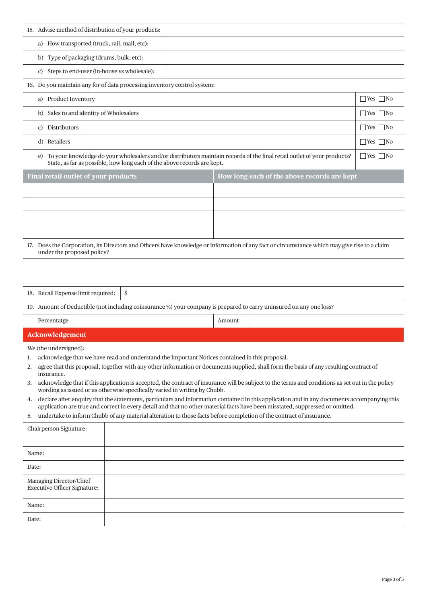| 15. Advise method of distribution of your products:                                                                                                                                                      |                      |  |
|----------------------------------------------------------------------------------------------------------------------------------------------------------------------------------------------------------|----------------------|--|
| a) How transported (truck, rail, mail, etc):                                                                                                                                                             |                      |  |
| b) Type of packaging (drums, bulk, etc):                                                                                                                                                                 |                      |  |
| c) Steps to end-user (in-house vs wholesale):                                                                                                                                                            |                      |  |
| 16. Do you maintain any for of data processing inventory control system:                                                                                                                                 |                      |  |
| a) Product Inventory                                                                                                                                                                                     |                      |  |
| b) Sales to and identity of Wholesalers                                                                                                                                                                  |                      |  |
| c) Distributors                                                                                                                                                                                          | $\Box$ Yes $\Box$ No |  |
| d) Retailers                                                                                                                                                                                             |                      |  |
| To your knowledge do your wholesalers and/or distributors maintain records of the final retail outlet of your products?<br>e)<br>State, as far as possible, how long each of the above records are kept. |                      |  |
| Final retail outlet of your products<br>How long each of the above records are kept                                                                                                                      |                      |  |
|                                                                                                                                                                                                          |                      |  |
|                                                                                                                                                                                                          |                      |  |
|                                                                                                                                                                                                          |                      |  |
|                                                                                                                                                                                                          |                      |  |
|                                                                                                                                                                                                          |                      |  |
| 17. Does the Corporation, its Directors and Officers have knowledge or information of any fact or circumstance which may give rise to a claim<br>under the proposed policy?                              |                      |  |
|                                                                                                                                                                                                          |                      |  |
|                                                                                                                                                                                                          |                      |  |

19. Amount of Deductible (not including coinsurance %) your company is prepared to carry uninsured on any one loss?

| _______ |  |  |
|---------|--|--|
|         |  |  |

**Acknowledgement** We (the undersigned):

- 1. acknowledge that we have read and understand the Important Notices contained in this proposal.
- 2. agree that this proposal, together with any other information or documents supplied, shall form the basis of any resulting contract of insurance.
- 3. acknowledge that if this application is accepted, the contract of insurance will be subject to the terms and conditions as set out in the policy wording as issued or as otherwise specifically varied in writing by Chubb.
- 4. declare after enquiry that the statements, particulars and information contained in this application and in any documents accompanying this application are true and correct in every detail and that no other material facts have been misstated, suppressed or omitted.
- 5. undertake to inform Chubb of any material alteration to those facts before completion of the contract of insurance.

| Chairperson Signature:                                  |  |
|---------------------------------------------------------|--|
| Name:                                                   |  |
| Date:                                                   |  |
| Managing Director/Chief<br>Executive Officer Signature: |  |
| Name:                                                   |  |
| Date:                                                   |  |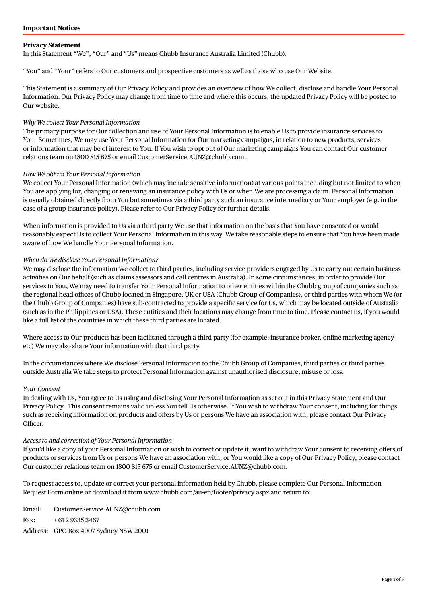## **Privacy Statement**

In this Statement "We", "Our" and "Us" means Chubb Insurance Australia Limited (Chubb).

"You" and "Your" refers to Our customers and prospective customers as well as those who use Our Website.

This Statement is a summary of Our Privacy Policy and provides an overview of how We collect, disclose and handle Your Personal Information. Our Privacy Policy may change from time to time and where this occurs, the updated Privacy Policy will be posted to Our website.

## *Why We collect Your Personal Information*

The primary purpose for Our collection and use of Your Personal Information is to enable Us to provide insurance services to You. Sometimes, We may use Your Personal Information for Our marketing campaigns, in relation to new products, services or information that may be of interest to You. If You wish to opt out of Our marketing campaigns You can contact Our customer relations team on 1800 815 675 or email CustomerService.AUNZ@chubb.com.

#### *How We obtain Your Personal Information*

We collect Your Personal Information (which may include sensitive information) at various points including but not limited to when You are applying for, changing or renewing an insurance policy with Us or when We are processing a claim. Personal Information is usually obtained directly from You but sometimes via a third party such an insurance intermediary or Your employer (e.g. in the case of a group insurance policy). Please refer to Our Privacy Policy for further details.

When information is provided to Us via a third party We use that information on the basis that You have consented or would reasonably expect Us to collect Your Personal Information in this way. We take reasonable steps to ensure that You have been made aware of how We handle Your Personal Information.

#### *When do We disclose Your Personal Information?*

We may disclose the information We collect to third parties, including service providers engaged by Us to carry out certain business activities on Our behalf (such as claims assessors and call centres in Australia). In some circumstances, in order to provide Our services to You, We may need to transfer Your Personal Information to other entities within the Chubb group of companies such as the regional head offices of Chubb located in Singapore, UK or USA (Chubb Group of Companies), or third parties with whom We (or the Chubb Group of Companies) have sub-contracted to provide a specific service for Us, which may be located outside of Australia (such as in the Philippines or USA). These entities and their locations may change from time to time. Please contact us, if you would like a full list of the countries in which these third parties are located.

Where access to Our products has been facilitated through a third party (for example: insurance broker, online marketing agency etc) We may also share Your information with that third party.

In the circumstances where We disclose Personal Information to the Chubb Group of Companies, third parties or third parties outside Australia We take steps to protect Personal Information against unauthorised disclosure, misuse or loss.

#### *Your Consent*

In dealing with Us, You agree to Us using and disclosing Your Personal Information as set out in this Privacy Statement and Our Privacy Policy. This consent remains valid unless You tell Us otherwise. If You wish to withdraw Your consent, including for things such as receiving information on products and offers by Us or persons We have an association with, please contact Our Privacy Officer.

#### *Access to and correction of Your Personal Information*

If you'd like a copy of your Personal Information or wish to correct or update it, want to withdraw Your consent to receiving offers of products or services from Us or persons We have an association with, or You would like a copy of Our Privacy Policy, please contact Our customer relations team on 1800 815 675 or email CustomerService.AUNZ@chubb.com.

To request access to, update or correct your personal information held by Chubb, please complete Our Personal Information Request Form online or download it from www.chubb.com/au-en/footer/privacy.aspx and return to:

Email: CustomerService.AUNZ@chubb.com Fax: + 61 2 9335 3467 Address: GPO Box 4907 Sydney NSW 2001